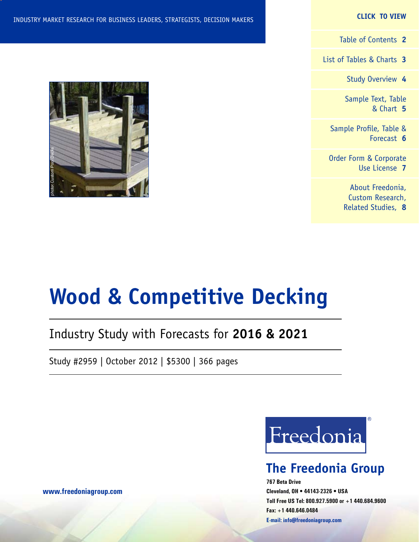#### **CLICK TO VIEW**

[Table of Contents](#page-1-0) **2**

[List of Tables & Charts](#page-2-0) **3**

[Study Overview](#page-3-0) **4**

[Sample Text, Table](#page-4-0) [& Chart](#page-4-0) **5**

[Sample Profile, Table &](#page-5-0) [Forecast](#page-5-0) **6**

[Order Form & Corporate](#page-6-0) [Use License](#page-6-0) **7**

> [About Freedonia,](#page-7-0) [Custom Research,](#page-7-0) [Related Studies,](#page-7-0) **8**



# **Wood & Competitive Decking**

# Industry Study with Forecasts for **2016 & 2021**

Study #2959 | October 2012 | \$5300 | 366 pages



# **The Freedonia Group**

**767 Beta Drive Cleveland, OH • 44143-2326 • USA Toll Free US Tel: 800.927.5900 or +1 440.684.9600 Fax: +1 440.646.0484 E-mail: [info@freedoniagroup.com](mailto:info@freedoniagroup.com)**

**[www.freedoniagroup.com](http://www.freedoniagroup.com/Home.aspx?ReferrerId=FM-Bro)**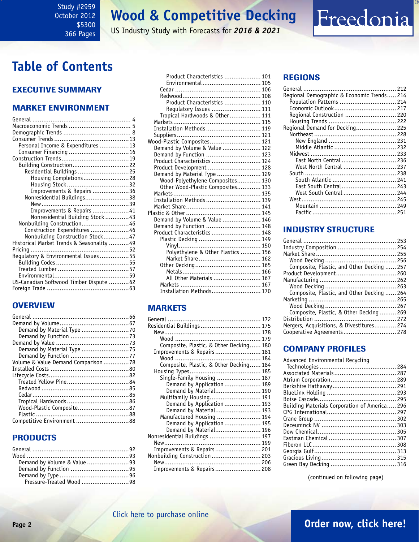#### <span id="page-1-0"></span>Study #2959 October 2012 \$5300 366 Pages

# **Wood & Competitive Decking**

US Industry Study with Forecasts for *2016 & 2021*

# **Table of Contents**

### Executive Summary

### Market EnvironmenT

| Personal Income & Expenditures 13         |  |
|-------------------------------------------|--|
|                                           |  |
|                                           |  |
| Building Construction22                   |  |
| Residential Buildings 25                  |  |
| Housing Completions28                     |  |
| Housing Stock32                           |  |
| Improvements & Repairs 36                 |  |
| Nonresidential Buildings38                |  |
|                                           |  |
| Improvements & Repairs 41                 |  |
| Nonresidential Building Stock 43          |  |
| Nonbuilding Construction46                |  |
| Construction Expenditures 46              |  |
| Nonbuilding Construction Stock47          |  |
| Historical Market Trends & Seasonality 49 |  |
|                                           |  |
| Regulatory & Environmental Issues55       |  |
|                                           |  |
|                                           |  |
|                                           |  |
| US-Canadian Softwood Timber Dispute  62   |  |
|                                           |  |
|                                           |  |

### **OVERVIEW**

| Demand by Material Type 75          |  |
|-------------------------------------|--|
|                                     |  |
| Volume & Value Demand Comparison 78 |  |
|                                     |  |
|                                     |  |
|                                     |  |
|                                     |  |
|                                     |  |
|                                     |  |
| Wood-Plastic Composite87            |  |
|                                     |  |
| Competitive Environment 88          |  |

### PRODUCTS

| Demand by Volume & Value 93 |  |
|-----------------------------|--|
|                             |  |
|                             |  |
| Pressure-Treated Wood 98    |  |

| Product Characteristics  101       |  |
|------------------------------------|--|
| Environmental 105                  |  |
|                                    |  |
|                                    |  |
| Product Characteristics  110       |  |
| Regulatory Issues  111             |  |
| Tropical Hardwoods & Other  111    |  |
|                                    |  |
| Installation Methods  119          |  |
|                                    |  |
| Wood-Plastic Composites 121        |  |
| Demand by Volume & Value 122       |  |
| Demand by Function  123            |  |
| Product Characteristics  124       |  |
| Product Development  128           |  |
| Demand by Material Type  129       |  |
| Wood-Polyethylene Composites 130   |  |
| Other Wood-Plastic Composites 133  |  |
|                                    |  |
| Installation Methods  139          |  |
|                                    |  |
|                                    |  |
| Demand by Volume & Value  146      |  |
| Demand by Function  148            |  |
| Product Characteristics  148       |  |
| Plastic Decking  149               |  |
|                                    |  |
| Polyethylene & Other Plastics  156 |  |
| Market Share 162                   |  |
|                                    |  |
|                                    |  |
| All Other Materials  167           |  |
|                                    |  |
| Installation Methods 170           |  |
|                                    |  |

### MARKETS

| Residential Buildings  175              |  |
|-----------------------------------------|--|
|                                         |  |
|                                         |  |
| Composite, Plastic, & Other Decking 180 |  |
| Improvements & Repairs 181              |  |
|                                         |  |
| Composite, Plastic, & Other Decking 184 |  |
|                                         |  |
| Single-Family Housing  187              |  |
| Demand by Application  189              |  |
| Demand by Material 190                  |  |
| Multifamily Housing 191                 |  |
| Demand by Application  193              |  |
| Demand by Material 193                  |  |
| Manufactured Housing  194               |  |
| Demand by Application  195              |  |
| Demand by Material 196                  |  |
| Nonresidential Buildings  197           |  |
|                                         |  |
| Improvements & Repairs 201              |  |
| Nonbuilding Construction 203            |  |
|                                         |  |
| Improvements & Repairs 208              |  |

### REGIONS

| Regional Demographic & Economic Trends 214 |  |
|--------------------------------------------|--|
| Population Patterns  214                   |  |
|                                            |  |
| Regional Construction  220                 |  |
|                                            |  |
| Regional Demand for Decking 225            |  |
|                                            |  |
|                                            |  |
|                                            |  |
|                                            |  |
| East North Central  236                    |  |
| West North Central  237                    |  |
|                                            |  |
| South Atlantic  241                        |  |
| East South Central 243                     |  |
| West South Central  244                    |  |
|                                            |  |
|                                            |  |
|                                            |  |
|                                            |  |

Freedonia

### INDUSTRY STRUCTURE

| Industry Composition  254                  |  |
|--------------------------------------------|--|
|                                            |  |
|                                            |  |
| Composite, Plastic, and Other Decking  257 |  |
| Product Development 260                    |  |
|                                            |  |
|                                            |  |
| Composite, Plastic, and Other Decking  264 |  |
|                                            |  |
|                                            |  |
| Composite, Plastic, & Other Decking269     |  |
|                                            |  |
| Mergers, Acquisitions, & Divestitures 274  |  |
| Cooperative Agreements 278                 |  |
|                                            |  |

### Company Profiles

Advanced Environmental Recycling

| Building Materials Corporation of America 296 |  |
|-----------------------------------------------|--|
|                                               |  |
|                                               |  |
|                                               |  |
|                                               |  |
|                                               |  |
|                                               |  |
|                                               |  |
|                                               |  |
|                                               |  |
|                                               |  |

(continued on following page)

# **Page 2 [Order now, click here!](#page-6-0)**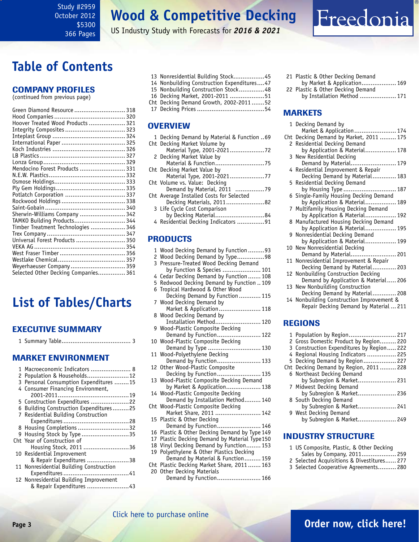<span id="page-2-0"></span>Study #2959 October 2012 \$5300 366 Pages

# **Wood & Competitive Decking**

US Industry Study with Forecasts for *2016 & 2021*

# **Table of Contents**

#### Company Profiles

(continued from previous page)

| Green Diamond Resource  318<br>Hoover Treated Wood Products  321 |  |
|------------------------------------------------------------------|--|
| Integrity Composites  323                                        |  |
|                                                                  |  |
|                                                                  |  |
|                                                                  |  |
| Mendocino Forest Products  331                                   |  |
|                                                                  |  |
|                                                                  |  |
|                                                                  |  |
| Potlatch Corporation  337                                        |  |
|                                                                  |  |
| Sherwin-Williams Company  342                                    |  |
| TAMKO Building Products 344                                      |  |
| Timber Treatment Technologies  346                               |  |
| Universal Forest Products  350                                   |  |
|                                                                  |  |
|                                                                  |  |
|                                                                  |  |
| Weyerhaeuser Company 359<br>Selected Other Decking Companies 361 |  |
|                                                                  |  |

# **List of Tables/Charts**

### Executive Summary

|--|--|--|--|

#### Market EnvironmenT

|   | 1 Macroeconomic Indicators  8           |  |
|---|-----------------------------------------|--|
|   | 2 Population & Households12             |  |
|   | 3 Personal Consumption Expenditures 15  |  |
|   | 4 Consumer Financing Environment,       |  |
|   |                                         |  |
|   | 5 Construction Expenditures 22          |  |
|   | 6 Building Construction Expenditures25  |  |
|   | 7 Residential Building Construction     |  |
|   |                                         |  |
|   | 8 Housing Completions 32                |  |
| 9 | Housing Stock by Type35                 |  |
|   | Cht Year of Construction of             |  |
|   | Housing Stock, 2011 36                  |  |
|   | 10 Residential Improvement              |  |
|   | & Repair Expenditures 38                |  |
|   | 11 Nonresidential Building Construction |  |
|   |                                         |  |
|   | 12 Nonresidential Building Improvement  |  |
|   | & Repair Expenditures 43                |  |

- 13 Nonresidential Building Stock.................45
- 14 Nonbuilding Construction Expenditures....47
- 15 Nonbuilding Construction Stock..............48
- 16 Decking Market, 2001-2011 ...................51
- Cht Decking Demand Growth, 2002-2011 .......52 17 Decking Prices.....................................54
	-

#### **OVERVIEW**

| 1 Decking Demand by Material & Function  69 |  |
|---------------------------------------------|--|
| Cht Decking Market Volume by                |  |
|                                             |  |
| 2 Decking Market Value by                   |  |
|                                             |  |
| Cht Decking Market Value by                 |  |
| Material Type, 2001-202177                  |  |
| Cht Volume vs. Value: Decking               |  |
| Demand by Material, 2011 79                 |  |
| Cht Average Installed Costs for Selected    |  |
| Decking Materials, 201182                   |  |
| 3 Life Cycle Cost Comparison                |  |
| by Decking Material84                       |  |
| 4 Residential Decking Indicators 91         |  |
|                                             |  |
|                                             |  |

#### PRODUCTS

- 1 Wood Decking Demand by Function .........93
- 2 Wood Decking Demand by Type...............98 3 Pressure-Treated Wood Decking Demand by Function & Species ..................... 101 4 Cedar Decking Demand by Function....... 108
- 5 Redwood Decking Demand by Function .. 109 6 Tropical Hardwood & Other Wood Decking Demand by Function............ 115 7 Wood Decking Demand by Market & Application....................... 118 8 Wood Decking Demand by Installation Method......................... 120 9 Wood-Plastic Composite Decking Demand by Function........................ 122 10 Wood-Plastic Composite Decking Demand by Type ............................. 130 11 Wood-Polyethylene Decking Demand by Function........................ 133 12 Other Wood-Plastic Composite Decking by Function........................ 135 13 Wood-Plastic Composite Decking Demand by Market & Application................... 138 14 Wood-Plastic Composite Decking Demand by Installation Method......... 140 Cht Wood-Plastic Composite Decking Market Share, 2011 ......................... 142 15 Plastic & Other Decking Demand by Function........................ 146 16 Plastic & Other Decking Demand by Type 149 17 Plastic Decking Demand by Material Type150 18 Vinyl Decking Demand by Function........ 153 19 Polyethylene & Other Plastics Decking Demand by Material & Function......... 159 Cht Plastic Decking Market Share, 2011 ....... 163 20 Other Decking Materials
	- Demand by Function........................ 166

21 Plastic & Other Decking Demand by Market & Application................... 169 22 Plastic & Other Decking Demand by Installation Method .................... 171

Freedonia

### MARKETS

|          | 1 Decking Demand by                                                 |
|----------|---------------------------------------------------------------------|
|          | Market & Application 174                                            |
| Cht<br>2 | Decking Demand by Market, 2011  175<br>Residential Decking Demand   |
|          | by Application & Material 178                                       |
| 3        | New Residential Decking                                             |
|          | Demand by Material 179                                              |
| 4        | Residential Improvement & Repair                                    |
| 5        | Decking Demand by Material 183<br>Residential Decking Demand        |
|          | by Housing Type  187                                                |
| 6        | Single-Family Housing Decking Demand                                |
|          | by Application & Material 189                                       |
| 7        | Multifamily Housing Decking Demand<br>by Application & Material 192 |
| 8        | Manufactured Housing Decking Demand                                 |
|          | by Application & Material 195                                       |
| 9        | Nonresidential Decking Demand                                       |
|          | by Application & Material 199                                       |
| 10       | New Nonresidential Decking<br>Demand by Material 201                |
| 11       | Nonresidential Improvement & Repair                                 |
|          | Decking Demand by Material 203                                      |
| 12       | Nonbuilding Construction Decking                                    |
|          | Demand by Application & Material 206                                |
| 13       | New Nonbuilding Construction<br>Decking Demand by Material 208      |
| 14       | Nonbuilding Construction Improvement &                              |
|          | Repair Decking Demand by Material  211                              |
|          |                                                                     |
|          | <b>REGIONS</b>                                                      |
| 1        | Population by Region 217                                            |
| 2        | Gross Domestic Product by Region 220                                |
| 3        | Construction Expenditures by Region 222                             |
| 4        | Regional Housing Indicators  225                                    |
| 5        | Decking Demand by Region 227                                        |
| Cht<br>6 | Decking Demand by Region, 2011  228<br>Northeast Decking Demand     |
|          | by Subregion & Market 231                                           |
| 7        | Midwest Decking Demand                                              |
|          | by Subregion & Market 236                                           |
| 8        | South Decking Demand                                                |
|          | by Subregion & Market 241                                           |

9 West Decking Demand by Subregion & Market..................... 249

#### INDUSTRY STRUCTURE

- 1 US Composite, Plastic, & Other Decking Sales by Company, 2011................... 259
- 2 Selected Acquisitions & Divestitures...... 277
- 3 Selected Cooperative Agreements.......... 280
- **Page 3 [Order now, click here!](#page-6-0)**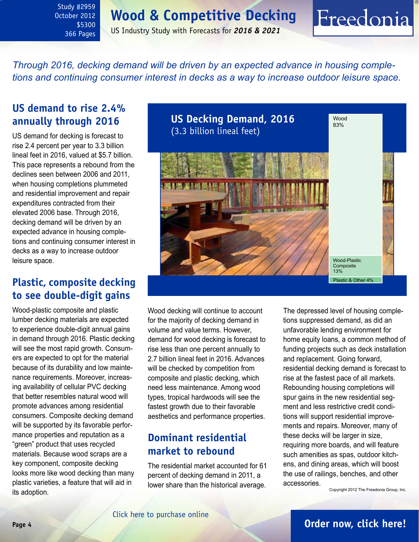# **Wood & Competitive Decking**

<span id="page-3-0"></span>Study #2959 October 2012 \$5300 366 Pages

US Industry Study with Forecasts for *2016 & 2021*

*Through 2016, decking demand will be driven by an expected advance in housing completions and continuing consumer interest in decks as a way to increase outdoor leisure space.* 

## **US demand to rise 2.4% annually through 2016**

US demand for decking is forecast to rise 2.4 percent per year to 3.3 billion lineal feet in 2016, valued at \$5.7 billion. This pace represents a rebound from the declines seen between 2006 and 2011, when housing completions plummeted and residential improvement and repair expenditures contracted from their elevated 2006 base. Through 2016, decking demand will be driven by an expected advance in housing completions and continuing consumer interest in decks as a way to increase outdoor leisure space.

## **Plastic, composite decking to see double-digit gains**

Wood-plastic composite and plastic lumber decking materials are expected to experience double-digit annual gains in demand through 2016. Plastic decking will see the most rapid growth. Consumers are expected to opt for the material because of its durability and low maintenance requirements. Moreover, increasing availability of cellular PVC decking that better resembles natural wood will promote advances among residential consumers. Composite decking demand will be supported by its favorable performance properties and reputation as a "green" product that uses recycled materials. Because wood scraps are a key component, composite decking looks more like wood decking than many plastic varieties, a feature that will aid in its adoption.



Wood decking will continue to account for the majority of decking demand in volume and value terms. However, demand for wood decking is forecast to rise less than one percent annually to 2.7 billion lineal feet in 2016. Advances will be checked by competition from composite and plastic decking, which need less maintenance. Among wood types, tropical hardwoods will see the fastest growth due to their favorable aesthetics and performance properties.

## **Dominant residential market to rebound**

The residential market accounted for 61 percent of decking demand in 2011, a lower share than the historical average.

The depressed level of housing completions suppressed demand, as did an unfavorable lending environment for home equity loans, a common method of funding projects such as deck installation and replacement. Going forward, residential decking demand is forecast to rise at the fastest pace of all markets. Rebounding housing completions will spur gains in the new residential segment and less restrictive credit conditions will support residential improvements and repairs. Moreover, many of these decks will be larger in size, requiring more boards, and will feature such amenities as spas, outdoor kitchens, and dining areas, which will boost the use of railings, benches, and other accessories.

Freedonia

Copyright 2012 The Freedonia Group, Inc.

### **Page 4 [Order now, click here!](#page-6-0)**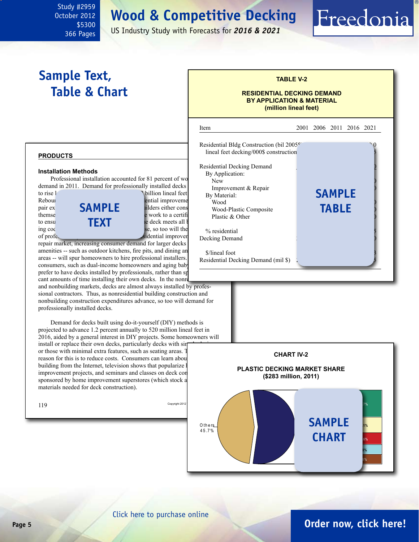# **Wood & Competitive Decking**

<span id="page-4-0"></span>October 2012 \$5300 366 Pages

Study #2959

### US Industry Study with Forecasts for *2016 & 2021*

# **Sample Text, Table & Chart**

#### **TABLE V-2**

Freedonia

#### **RESIDENTIAL DECKING DEMAND BY APPLICATION & MATERIAL (million lineal feet)**



#### **Installation Methods**

Professional installation accounted for 81 percent of wo  $\frac{1}{\text{New}}$ demand in 2011. Demand for professionally installed decks to rise less than one per year to 2.2 billion lineal feet



repair market, increasing consumer demand for larger decks amenities -- such as outdoor kitchens, fire pits, and dining an areas -- will spur homeowners to hire professional installers. consumers, such as dual-income homeowners and aging baby prefer to have decks installed by professionals, rather than spending cant amounts of time installing their own decks. In the nonre and nonbuilding markets, decks are almost always installed by profes-

sional contractors. Thus, as nonresidential building construction and nonbuilding construction expenditures advance, so too will demand for professionally installed decks.

Demand for decks built using do-it-yourself (DIY) methods is projected to advance 1.2 percent annually to 520 million lineal feet in 2016, aided by a general interest in DIY projects. Some homeowners will install or replace their own decks, particularly decks with sin or those with minimal extra features, such as seating areas. The primary reason for this is to reduce costs. Consumers can learn abou building from the Internet, television shows that popularize l improvement projects, and seminars and classes on deck construction sponsored by home improvement superstores (which stock a

| Copyright 2012 |  |
|----------------|--|
|                |  |
|                |  |

materials needed for deck construction).





### **Page 5 [Order now, click here!](#page-6-0)**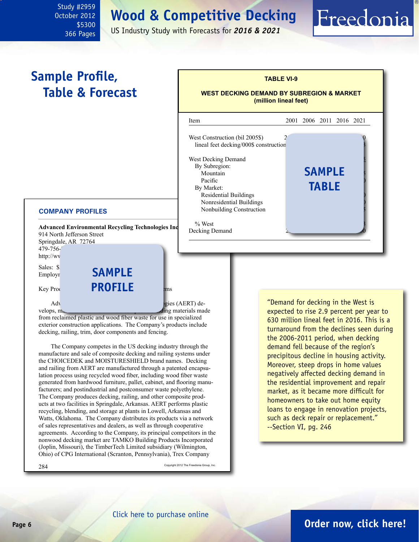**Wood & Competitive Decking**

US Industry Study with Forecasts for *2016 & 2021*

l

# **Sample Profile, Table & Forecast**

<span id="page-5-0"></span>Study #2959 October 2012

> \$5300 366 Pages



**TABLE VI-9**

Freedonia

**WEST DECKING DEMAND BY SUBREGION & MARKET (million lineal feet)**

#### **COMPANY PROFILES**

914 North Jefferson Street Springdale, AR 72764 479-756-7 http://wv Sales: \$

Employr

Advanced Environmental Recycling Technologies (AERT) develops,  $m_{\theta}$  and materials made

from reclaimed plastic and wood fiber waste for use in specialized exterior construction applications. The Company's products include decking, railing, trim, door components and fencing.

The Company competes in the US decking industry through the manufacture and sale of composite decking and railing systems under the CHOICEDEK and MOISTURESHIELD brand names. Decking and railing from AERT are manufactured through a patented encapsulation process using recycled wood fiber, including wood fiber waste generated from hardwood furniture, pallet, cabinet, and flooring manufacturers; and postindustrial and postconsumer waste polyethylene. The Company produces decking, railing, and other composite products at two facilities in Springdale, Arkansas. AERT performs plastic recycling, blending, and storage at plants in Lowell, Arkansas and Watts, Oklahoma. The Company distributes its products via a network of sales representatives and dealers, as well as through cooperative agreements. According to the Company, its principal competitors in the nonwood decking market are TAMKO Building Products Incorporated (Joplin, Missouri), the TimberTech Limited subsidiary (Wilmington, Ohio) of CPG International (Scranton, Pennsylvania), Trex Company

284 Copyright 2012 The Freedonia Group, Inc.

"Demand for decking in the West is expected to rise 2.9 percent per year to 630 million lineal feet in 2016. This is a turnaround from the declines seen during the 2006-2011 period, when decking demand fell because of the region's precipitous decline in housing activity. Moreover, steep drops in home values negatively affected decking demand in the residential improvement and repair market, as it became more difficult for homeowners to take out home equity loans to engage in renovation projects, such as deck repair or replacement." --Section VI, pg. 246

### **Page 6 [Order now, click here!](#page-6-0)**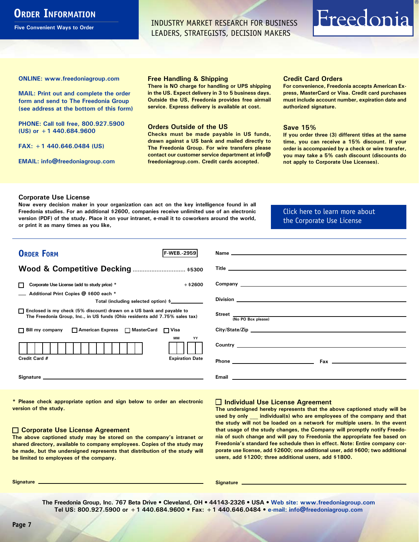# <span id="page-6-0"></span>**ORDER INFORMATION**

**Five Convenient Ways to Order**

INDUSTRY MARKET RESEARCH FOR BUSINESS LEADERS, STRATEGISTS, DECISION MAKERS

# Freedonia

**ONLINE: [www.freedoniagroup.com](http://www.freedoniagroup.com/DocumentDetails.aspx?Referrerid=FM-Bro&StudyID=2959)**

**MAIL: Print out and complete the order form and send to The Freedonia Group (see address at the bottom of this form)**

**PHONE: Call toll free, 800.927.5900 (US) or +1 440.684.9600**

**FAX: +1 440.646.0484 (US)**

**EMAIL: [info@freedoniagroup.com](mailto:info@freedoniagroup.com)**

#### **Free Handling & Shipping**

**There is NO charge for handling or UPS shipping in the US. Expect delivery in 3 to 5 business days. Outside the US, Freedonia provides free airmail service. Express delivery is available at cost.**

#### **Orders Outside of the US**

**Checks must be made payable in US funds, drawn against a US bank and mailed directly to The Freedonia Group. For wire transfers please contact our customer service department at info@ freedoniagroup.com. Credit cards accepted.**

#### **Credit Card Orders**

**For convenience, Freedonia accepts American Express, MasterCard or Visa. Credit card purchases must include account number, expiration date and authorized signature.**

#### **Save 15%**

**If you order three (3) different titles at the same time, you can receive a 15% discount. If your order is accompanied by a check or wire transfer, you may take a 5% cash discount (discounts do not apply to Corporate Use Licenses).**

#### **Corporate Use License**

**Now every decision maker in your organization can act on the key intelligence found in all Freedonia studies. For an additional \$2600, companies receive unlimited use of an electronic version (PDF) of the study. Place it on your intranet, e-mail it to coworkers around the world, or print it as many times as you like,** 

[Click here to learn more about](http://www.freedoniagroup.com/pdf/FreedoniaCULBro.pdf)  [the Corporate Use License](http://www.freedoniagroup.com/pdf/FreedoniaCULBro.pdf)

| <b>ORDER FORM</b><br><b>F-WEB.-2959</b>                                                                                                               |                                                                                                                                                                                                                                      |
|-------------------------------------------------------------------------------------------------------------------------------------------------------|--------------------------------------------------------------------------------------------------------------------------------------------------------------------------------------------------------------------------------------|
|                                                                                                                                                       |                                                                                                                                                                                                                                      |
| Wood & Competitive Decking  \$5300                                                                                                                    |                                                                                                                                                                                                                                      |
| $+$ \$2600<br>Corporate Use License (add to study price) *                                                                                            | Company League and Company Company Company Company Company Company Company Company Company Company Company Company Company Company Company Company Company Company Company Company Company Company Company Company Company Com       |
| Additional Print Copies @ \$600 each *<br>Total (including selected option) \$____________                                                            |                                                                                                                                                                                                                                      |
| □ Enclosed is my check (5% discount) drawn on a US bank and payable to<br>The Freedonia Group, Inc., in US funds (Ohio residents add 7.75% sales tax) | Street  No PO Box please)                                                                                                                                                                                                            |
| □ Bill my company □ American Express □ MasterCard □ Visa                                                                                              |                                                                                                                                                                                                                                      |
| MМ<br>YY                                                                                                                                              | Country <u>experience</u> and the contract of the contract of the contract of the contract of the contract of the contract of the contract of the contract of the contract of the contract of the contract of the contract of the c  |
| Credit Card #<br><b>Expiration Date</b>                                                                                                               |                                                                                                                                                                                                                                      |
|                                                                                                                                                       | Email <b>Executive Contract Contract Contract Contract Contract Contract Contract Contract Contract Contract Contract Contract Contract Contract Contract Contract Contract Contract Contract Contract Contract Contract Contrac</b> |

**\* Please check appropriate option and sign below to order an electronic version of the study.**

#### **Corporate Use License Agreement**

**The above captioned study may be stored on the company's intranet or shared directory, available to company employees. Copies of the study may be made, but the undersigned represents that distribution of the study will be limited to employees of the company.**

#### **Individual Use License Agreement**

**The undersigned hereby represents that the above captioned study will be used by only \_\_\_ individual(s) who are employees of the company and that the study will not be loaded on a network for multiple users. In the event that usage of the study changes, the Company will promptly notify Freedonia of such change and will pay to Freedonia the appropriate fee based on Freedonia's standard fee schedule then in effect. Note: Entire company corporate use license, add \$2600; one additional user, add \$600; two additional users, add \$1200; three additional users, add \$1800.**

**Signature Signature**

**The Freedonia Group, Inc. 767 Beta Drive • Cleveland, OH • 44143-2326 • USA • [Web site: www.freedoniagroup.com](http://www.freedoniagroup.com/Home.aspx?ReferrerId=FM-Bro) Tel US: 800.927.5900 or +1 440.684.9600 • Fax: +1 440.646.0484 • [e-mail: info@freedoniagroup.com](mailto:info@freedoniagroup.com)**